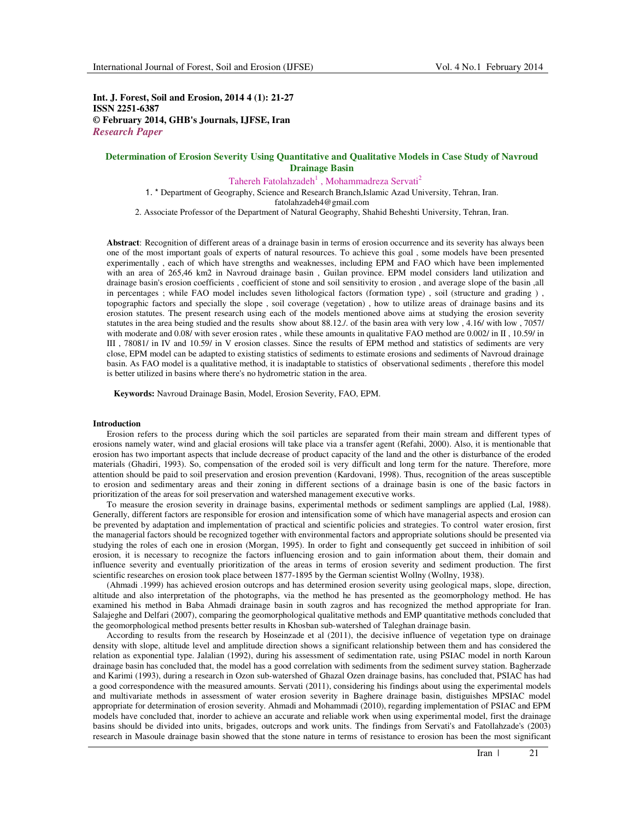**Int. J. Forest, Soil and Erosion, 2014 4 (1): 21-27 ISSN 2251-6387 © February 2014, GHB's Journals, IJFSE, Iran** *Research Paper*

# **Determination of Erosion Severity Using Quantitative and Qualitative Models in Case Study of Navroud Drainage Basin**

Tahereh Fatolahzadeh<sup>1</sup>, Mohammadreza Servati<sup>2</sup>

1. \* Department of Geography, Science and Research Branch,Islamic Azad University, Tehran, Iran. fatolahzadeh4@gmail.com

2. Associate Professor of the Department of Natural Geography, Shahid Beheshti University, Tehran, Iran.

**Abstract**: Recognition of different areas of a drainage basin in terms of erosion occurrence and its severity has always been one of the most important goals of experts of natural resources. To achieve this goal , some models have been presented experimentally , each of which have strengths and weaknesses, including EPM and FAO which have been implemented with an area of 265,46 km2 in Navroud drainage basin , Guilan province. EPM model considers land utilization and drainage basin's erosion coefficients , coefficient of stone and soil sensitivity to erosion , and average slope of the basin ,all in percentages ; while FAO model includes seven lithological factors (formation type) , soil (structure and grading ) , topographic factors and specially the slope , soil coverage (vegetation) , how to utilize areas of drainage basins and its erosion statutes. The present research using each of the models mentioned above aims at studying the erosion severity statutes in the area being studied and the results show about 88.12./. of the basin area with very low , 4.16/ with low , 7057/ with moderate and 0.08/ with sever erosion rates, while these amounts in qualitative FAO method are 0.002/ in II, 10.59/ in III , 78081/ in IV and 10.59/ in V erosion classes. Since the results of EPM method and statistics of sediments are very close, EPM model can be adapted to existing statistics of sediments to estimate erosions and sediments of Navroud drainage basin. As FAO model is a qualitative method, it is inadaptable to statistics of observational sediments , therefore this model is better utilized in basins where there's no hydrometric station in the area.

**Keywords:** Navroud Drainage Basin, Model, Erosion Severity, FAO, EPM.

#### **Introduction**

Erosion refers to the process during which the soil particles are separated from their main stream and different types of erosions namely water, wind and glacial erosions will take place via a transfer agent (Refahi, 2000). Also, it is mentionable that erosion has two important aspects that include decrease of product capacity of the land and the other is disturbance of the eroded materials (Ghadiri, 1993). So, compensation of the eroded soil is very difficult and long term for the nature. Therefore, more attention should be paid to soil preservation and erosion prevention (Kardovani, 1998). Thus, recognition of the areas susceptible to erosion and sedimentary areas and their zoning in different sections of a drainage basin is one of the basic factors in prioritization of the areas for soil preservation and watershed management executive works.

To measure the erosion severity in drainage basins, experimental methods or sediment samplings are applied (Lal, 1988). Generally, different factors are responsible for erosion and intensification some of which have managerial aspects and erosion can be prevented by adaptation and implementation of practical and scientific policies and strategies. To control water erosion, first the managerial factors should be recognized together with environmental factors and appropriate solutions should be presented via studying the roles of each one in erosion (Morgan, 1995). In order to fight and consequently get succeed in inhibition of soil erosion, it is necessary to recognize the factors influencing erosion and to gain information about them, their domain and influence severity and eventually prioritization of the areas in terms of erosion severity and sediment production. The first scientific researches on erosion took place between 1877-1895 by the German scientist Wollny (Wollny, 1938).

(Ahmadi .1999) has achieved erosion outcrops and has determined erosion severity using geological maps, slope, direction, altitude and also interpretation of the photographs, via the method he has presented as the geomorphology method. He has examined his method in Baba Ahmadi drainage basin in south zagros and has recognized the method appropriate for Iran. Salajeghe and Delfari (2007), comparing the geomorphological qualitative methods and EMP quantitative methods concluded that the geomorphological method presents better results in Khosban sub-watershed of Taleghan drainage basin.

According to results from the research by Hoseinzade et al (2011), the decisive influence of vegetation type on drainage density with slope, altitude level and amplitude direction shows a significant relationship between them and has considered the relation as exponential type. Jalalian (1992), during his assessment of sedimentation rate, using PSIAC model in north Karoun drainage basin has concluded that, the model has a good correlation with sediments from the sediment survey station. Bagherzade and Karimi (1993), during a research in Ozon sub-watershed of Ghazal Ozen drainage basins, has concluded that, PSIAC has had a good correspondence with the measured amounts. Servati (2011), considering his findings about using the experimental models and multivariate methods in assessment of water erosion severity in Baghere drainage basin, distiguishes MPSIAC model appropriate for determination of erosion severity. Ahmadi and Mohammadi (2010), regarding implementation of PSIAC and EPM models have concluded that, inorder to achieve an accurate and reliable work when using experimental model, first the drainage basins should be divided into units, brigades, outcrops and work units. The findings from Servati's and Fatollahzade's (2003) research in Masoule drainage basin showed that the stone nature in terms of resistance to erosion has been the most significant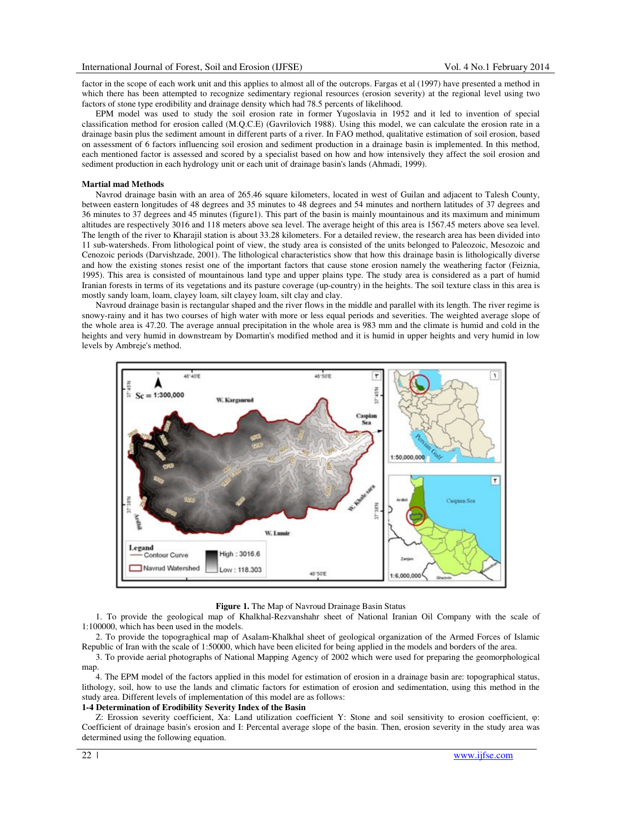factor in the scope of each work unit and this applies to almost all of the outcrops. Fargas et al (1997) have presented a method in which there has been attempted to recognize sedimentary regional resources (erosion severity) at the regional level using two factors of stone type erodibility and drainage density which had 78.5 percents of likelihood.

EPM model was used to study the soil erosion rate in former Yugoslavia in 1952 and it led to invention of special classification method for erosion called (M.Q.C.E) (Gavrilovich 1988). Using this model, we can calculate the erosion rate in a drainage basin plus the sediment amount in different parts of a river. In FAO method, qualitative estimation of soil erosion, based on assessment of 6 factors influencing soil erosion and sediment production in a drainage basin is implemented. In this method, each mentioned factor is assessed and scored by a specialist based on how and how intensively they affect the soil erosion and sediment production in each hydrology unit or each unit of drainage basin's lands (Ahmadi, 1999).

### **Martial mad Methods**

Navrod drainage basin with an area of 265.46 square kilometers, located in west of Guilan and adjacent to Talesh County, between eastern longitudes of 48 degrees and 35 minutes to 48 degrees and 54 minutes and northern latitudes of 37 degrees and 36 minutes to 37 degrees and 45 minutes (figure1). This part of the basin is mainly mountainous and its maximum and minimum altitudes are respectively 3016 and 118 meters above sea level. The average height of this area is 1567.45 meters above sea level. The length of the river to Kharajil station is about 33.28 kilometers. For a detailed review, the research area has been divided into 11 sub-watersheds. From lithological point of view, the study area is consisted of the units belonged to Paleozoic, Mesozoic and Cenozoic periods (Darvishzade, 2001). The lithological characteristics show that how this drainage basin is lithologically diverse and how the existing stones resist one of the important factors that cause stone erosion namely the weathering factor (Feiznia, 1995). This area is consisted of mountainous land type and upper plains type. The study area is considered as a part of humid Iranian forests in terms of its vegetations and its pasture coverage (up-country) in the heights. The soil texture class in this area is mostly sandy loam, loam, clayey loam, silt clayey loam, silt clay and clay.

Navroud drainage basin is rectangular shaped and the river flows in the middle and parallel with its length. The river regime is snowy-rainy and it has two courses of high water with more or less equal periods and severities. The weighted average slope of the whole area is 47.20. The average annual precipitation in the whole area is 983 mm and the climate is humid and cold in the heights and very humid in downstream by Domartin's modified method and it is humid in upper heights and very humid in low levels by Ambreje's method.



#### **Figure 1.** The Map of Navroud Drainage Basin Status

1. To provide the geological map of Khalkhal-Rezvanshahr sheet of National Iranian Oil Company with the scale of 1:100000, which has been used in the models.

2. To provide the topograghical map of Asalam-Khalkhal sheet of geological organization of the Armed Forces of Islamic Republic of Iran with the scale of 1:50000, which have been elicited for being applied in the models and borders of the area.

3. To provide aerial photographs of National Mapping Agency of 2002 which were used for preparing the geomorphological map.

4. The EPM model of the factors applied in this model for estimation of erosion in a drainage basin are: topographical status, lithology, soil, how to use the lands and climatic factors for estimation of erosion and sedimentation, using this method in the study area. Different levels of implementation of this model are as follows:

#### **1-4 Determination of Erodibility Severity Index of the Basin**

Z: Erossion severity coefficient, Xa: Land utilization coefficient Y: Stone and soil sensitivity to erosion coefficient, φ: Coefficient of drainage basin's erosion and I: Percental average slope of the basin. Then, erosion severity in the study area was determined using the following equation.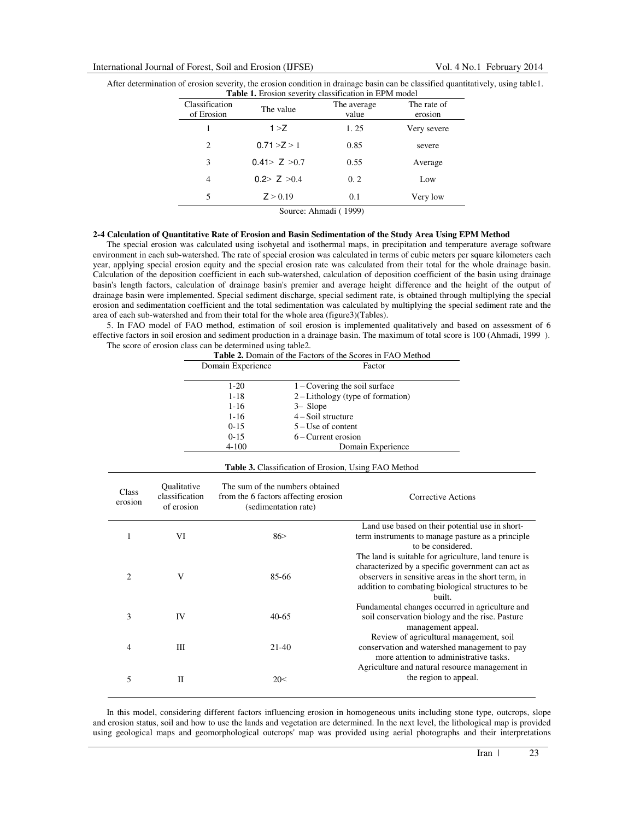| After determination of erosion severity, the erosion condition in drainage basin can be classified quantitatively, using table 1. |  |
|-----------------------------------------------------------------------------------------------------------------------------------|--|
| <b>Table 1.</b> Erosion severity classification in EPM model                                                                      |  |

| Classification<br>of Erosion | The value          | The average<br>value | The rate of<br>erosion |
|------------------------------|--------------------|----------------------|------------------------|
|                              | 1 > Z              | 1.25                 | Very severe            |
| 2                            | 0.71 > Z > 1       | 0.85                 | severe                 |
| 3                            | 0.41 > Z > 0.7     | 0.55                 | Average                |
| 4                            | 0.2 > Z > 0.4      | 0.2                  | Low                    |
| 5                            | Z > 0.19           | 0.1                  | Very low               |
|                              | $\cdots$<br>$\sim$ | $1'$ $(1000)$        |                        |

Source: Ahmadi ( 1999)

## **2-4 Calculation of Quantitative Rate of Erosion and Basin Sedimentation of the Study Area Using EPM Method**

The special erosion was calculated using isohyetal and isothermal maps, in precipitation and temperature average software environment in each sub-watershed. The rate of special erosion was calculated in terms of cubic meters per square kilometers each year, applying special erosion equity and the special erosion rate was calculated from their total for the whole drainage basin. Calculation of the deposition coefficient in each sub-watershed, calculation of deposition coefficient of the basin using drainage basin's length factors, calculation of drainage basin's premier and average height difference and the height of the output of drainage basin were implemented. Special sediment discharge, special sediment rate, is obtained through multiplying the special erosion and sedimentation coefficient and the total sedimentation was calculated by multiplying the special sediment rate and the area of each sub-watershed and from their total for the whole area (figure3)(Tables).

5. In FAO model of FAO method, estimation of soil erosion is implemented qualitatively and based on assessment of 6 effective factors in soil erosion and sediment production in a drainage basin. The maximum of total score is 100 (Ahmadi, 1999 ). The score of erosion class can be determined using table2.

| Domain Experience | Factor                              |
|-------------------|-------------------------------------|
|                   |                                     |
| $1 - 20$          | $1 -$ Covering the soil surface     |
| $1 - 18$          | $2$ – Lithology (type of formation) |
| $1 - 16$          | $3 -$ Slope                         |
| $1 - 16$          | $4 -$ Soil structure                |
| $0 - 15$          | $5 - Use of content$                |
| $0 - 15$          | $6 -$ Current erosion               |
| $4 - 100$         | Domain Experience                   |

**Table 2.** Domain of the Factors of the Scores in FAO Method

| <b>Table 3.</b> Classification of Erosion, Using FAO Method |                                                           |                                                                                                 |                                                                                                                                                                                                                                |  |  |  |  |
|-------------------------------------------------------------|-----------------------------------------------------------|-------------------------------------------------------------------------------------------------|--------------------------------------------------------------------------------------------------------------------------------------------------------------------------------------------------------------------------------|--|--|--|--|
| Class<br>erosion                                            | <i><b>Oualitative</b></i><br>classification<br>of erosion | The sum of the numbers obtained<br>from the 6 factors affecting erosion<br>(sedimentation rate) | Corrective Actions                                                                                                                                                                                                             |  |  |  |  |
| 1                                                           | VI                                                        | 86                                                                                              | Land use based on their potential use in short-<br>term instruments to manage pasture as a principle.<br>to be considered.                                                                                                     |  |  |  |  |
| $\overline{c}$                                              | V                                                         | 85-66                                                                                           | The land is suitable for agriculture, land tenure is<br>characterized by a specific government can act as<br>observers in sensitive areas in the short term, in<br>addition to combating biological structures to be<br>built. |  |  |  |  |
| 3                                                           | IV                                                        | $40-65$                                                                                         | Fundamental changes occurred in agriculture and<br>soil conservation biology and the rise. Pasture<br>management appeal.                                                                                                       |  |  |  |  |
| 4                                                           | Ш                                                         | $21-40$                                                                                         | Review of agricultural management, soil<br>conservation and watershed management to pay<br>more attention to administrative tasks.                                                                                             |  |  |  |  |
| 5                                                           | Н                                                         | 20<                                                                                             | Agriculture and natural resource management in<br>the region to appeal.                                                                                                                                                        |  |  |  |  |

In this model, considering different factors influencing erosion in homogeneous units including stone type, outcrops, slope and erosion status, soil and how to use the lands and vegetation are determined. In the next level, the lithological map is provided using geological maps and geomorphological outcrops' map was provided using aerial photographs and their interpretations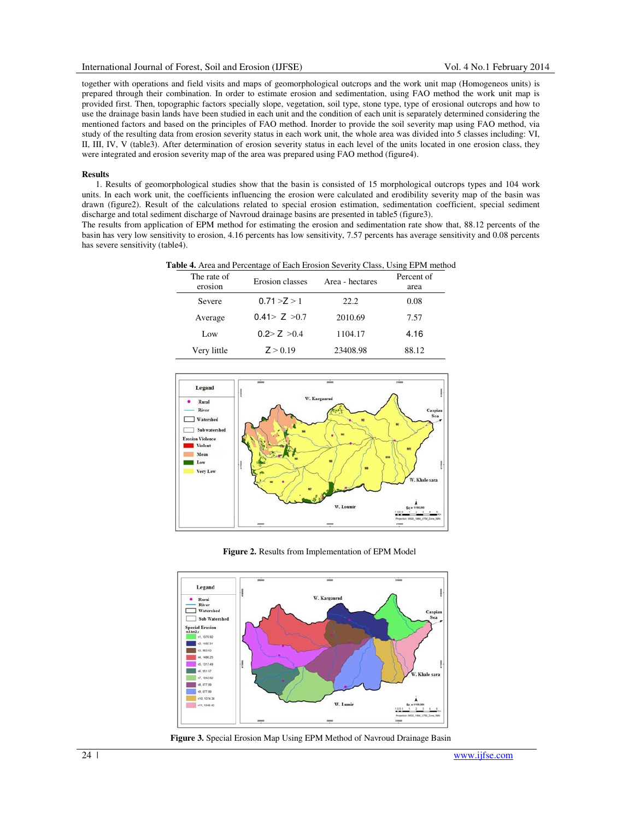together with operations and field visits and maps of geomorphological outcrops and the work unit map (Homogeneos units) is prepared through their combination. In order to estimate erosion and sedimentation, using FAO method the work unit map is provided first. Then, topographic factors specially slope, vegetation, soil type, stone type, type of erosional outcrops and how to use the drainage basin lands have been studied in each unit and the condition of each unit is separately determined considering the mentioned factors and based on the principles of FAO method. Inorder to provide the soil severity map using FAO method, via study of the resulting data from erosion severity status in each work unit, the whole area was divided into 5 classes including: VI, II, III, IV, V (table3). After determination of erosion severity status in each level of the units located in one erosion class, they were integrated and erosion severity map of the area was prepared using FAO method (figure4).

#### **Results**

1. Results of geomorphological studies show that the basin is consisted of 15 morphological outcrops types and 104 work units. In each work unit, the coefficients influencing the erosion were calculated and erodibility severity map of the basin was drawn (figure2). Result of the calculations related to special erosion estimation, sedimentation coefficient, special sediment discharge and total sediment discharge of Navroud drainage basins are presented in table5 (figure3).

The results from application of EPM method for estimating the erosion and sedimentation rate show that, 88.12 percents of the basin has very low sensitivity to erosion, 4.16 percents has low sensitivity, 7.57 percents has average sensitivity and 0.08 percents has severe sensitivity (table4).

| <b>Table 4.</b> Area and Percentage of Each Erosion Severity Class, Using EPM method |                 |                 |            |
|--------------------------------------------------------------------------------------|-----------------|-----------------|------------|
| The rate of                                                                          | Erosion classes | Area - hectares | Percent of |

| The rate of<br>erosion | Erosion classes | Area - hectares | Percent of<br>area |
|------------------------|-----------------|-----------------|--------------------|
| Severe                 | 0.71 > Z > 1    | 22.2            | 0.08               |
| Average                | 0.41 > 7 > 0.7  | 2010.69         | 7.57               |
| Low                    | 0.2 > 7 > 0.4   | 1104.17         | 4.16               |
| Very little            | Z > 0.19        | 23408.98        | 88.12              |



**Figure 2.** Results from Implementation of EPM Model



**Figure 3.** Special Erosion Map Using EPM Method of Navroud Drainage Basin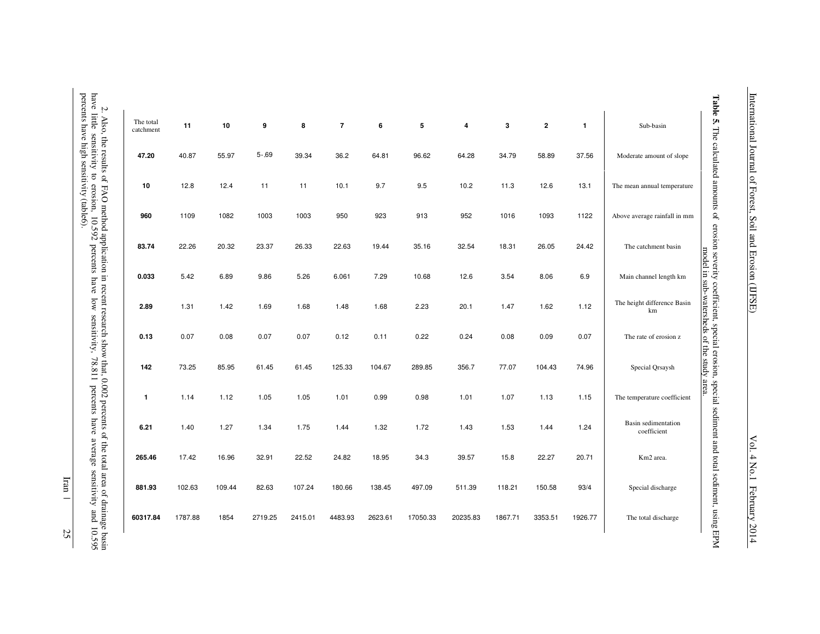| The total<br>catchment | 11      | 10     | 9       | 8       | $\overline{7}$ | 6       | 5        | 4        | 3       | $\overline{2}$ | $\mathbf{1}$ | Sub-basin                          |
|------------------------|---------|--------|---------|---------|----------------|---------|----------|----------|---------|----------------|--------------|------------------------------------|
| 47.20                  | 40.87   | 55.97  | 5.69    | 39.34   | 36.2           | 64.81   | 96.62    | 64.28    | 34.79   | 58.89          | 37.56        | Moderate amount of slope           |
| 10                     | 12.8    | 12.4   | 11      | 11      | 10.1           | 9.7     | 9.5      | 10.2     | 11.3    | 12.6           | 13.1         | The mean annual temperature        |
| 960                    | 1109    | 1082   | 1003    | 1003    | 950            | 923     | 913      | 952      | 1016    | 1093           | 1122         | Above average rainfall in mm       |
| 83.74                  | 22.26   | 20.32  | 23.37   | 26.33   | 22.63          | 19.44   | 35.16    | 32.54    | 18.31   | 26.05          | 24.42        | The catchment basin                |
| 0.033                  | 5.42    | 6.89   | 9.86    | 5.26    | 6.061          | 7.29    | 10.68    | 12.6     | 3.54    | 8.06           | 6.9          | Main channel length km             |
| 2.89                   | 1.31    | 1.42   | 1.69    | 1.68    | 1.48           | 1.68    | 2.23     | 20.1     | 1.47    | 1.62           | 1.12         | The height difference Basin<br>km  |
| 0.13                   | 0.07    | 0.08   | 0.07    | 0.07    | 0.12           | 0.11    | 0.22     | 0.24     | 0.08    | 0.09           | 0.07         | The rate of erosion z              |
| 142                    | 73.25   | 85.95  | 61.45   | 61.45   | 125.33         | 104.67  | 289.85   | 356.7    | 77.07   | 104.43         | 74.96        | Special Qrsaysh                    |
| 1                      | 1.14    | 1.12   | 1.05    | 1.05    | 1.01           | 0.99    | 0.98     | 1.01     | 1.07    | 1.13           | 1.15         | The temperature coefficient        |
| 6.21                   | 1.40    | 1.27   | 1.34    | 1.75    | 1.44           | 1.32    | 1.72     | 1.43     | 1.53    | 1.44           | 1.24         | Basin sedimentation<br>coefficient |
| 265.46                 | 17.42   | 16.96  | 32.91   | 22.52   | 24.82          | 18.95   | 34.3     | 39.57    | 15.8    | 22.27          | 20.71        | Km2 area.                          |
| 881.93                 | 102.63  | 109.44 | 82.63   | 107.24  | 180.66         | 138.45  | 497.09   | 511.39   | 118.21  | 150.58         | 93/4         | Special discharge                  |
| 60317.84               | 1787.88 | 1854   | 2719.25 | 2415.01 | 4483.93        | 2623.61 | 17050.33 | 20235.83 | 1867.71 | 3353.51        | 1926.77      | The total discharge                |

mare muse communely to consumer community (table6). percents have high sensitivity (table6). have little sensitivity to erosion, 10.592 percents have low sensitivity, 78.811 percents have average sensitivity and 10.595 2. Also, the results of FAO method application in recent research show that, 0.002 percents of the total area of drainage basin  $\overline{\mathbf{r}}$ ÷ ्तं  $\cdot$  $\mathbf{r}$  $\overline{a}$  $\overline{a}$ ง<br>กาง - 9  $_{0.595}$ 

Iran | 25 International Journal of Forest, Soil and Erosion (IJFSE) International Journal of Forest, Soil and Erosion (IJFSE) Vol. 4 No.1 February 2014

Vol. 4 No.1 February 2014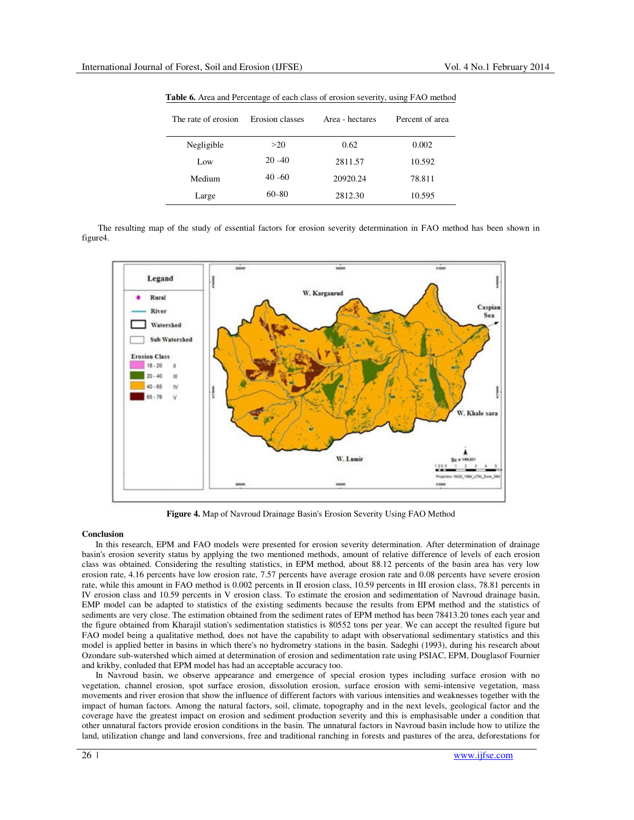| The rate of erosion | Erosion classes | Area - hectares | Percent of area |
|---------------------|-----------------|-----------------|-----------------|
| Negligible          | >20             | 0.62            | 0.002           |
| Low                 | $20 - 40$       | 2811.57         | 10.592          |
| Medium              | $40 - 60$       | 20920.24        | 78.811          |
| Large               | $60 - 80$       | 2812.30         | 10.595          |

**Table 6.** Area and Percentage of each class of erosion severity, using FAO method

 The resulting map of the study of essential factors for erosion severity determination in FAO method has been shown in figure4.



**Figure 4.** Map of Navroud Drainage Basin's Erosion Severity Using FAO Method

## **Conclusion**

In this research, EPM and FAO models were presented for erosion severity determination. After determination of drainage basin's erosion severity status by applying the two mentioned methods, amount of relative difference of levels of each erosion class was obtained. Considering the resulting statistics, in EPM method, about 88.12 percents of the basin area has very low erosion rate, 4.16 percents have low erosion rate, 7.57 percents have average erosion rate and 0.08 percents have severe erosion rate, while this amount in FAO method is 0.002 percents in II erosion class, 10.59 percents in III erosion class, 78.81 percents in IV erosion class and 10.59 percents in V erosion class. To estimate the erosion and sedimentation of Navroud drainage basin, EMP model can be adapted to statistics of the existing sediments because the results from EPM method and the statistics of sediments are very close. The estimation obtained from the sediment rates of EPM method has been 78413.20 tones each year and the figure obtained from Kharajil station's sedimentation statistics is 80552 tons per year. We can accept the resulted figure but FAO model being a qualitative method, does not have the capability to adapt with observational sedimentary statistics and this model is applied better in basins in which there's no hydrometry stations in the basin. Sadeghi (1993), during his research about Ozondare sub-watershed which aimed at determination of erosion and sedimentation rate using PSIAC, EPM, Douglasof Fournier and krikby, conluded that EPM model has had an acceptable accuracy too.

In Navroud basin, we observe appearance and emergence of special erosion types including surface erosion with no vegetation, channel erosion, spot surface erosion, dissolution erosion, surface erosion with semi-intensive vegetation, mass movements and river erosion that show the influence of different factors with various intensities and weaknesses together with the impact of human factors. Among the natural factors, soil, climate, topography and in the next levels, geological factor and the coverage have the greatest impact on erosion and sediment production severity and this is emphasisable under a condition that other unnatural factors provide erosion conditions in the basin. The unnatural factors in Navroud basin include how to utilize the land, utilization change and land conversions, free and traditional ranching in forests and pastures of the area, deforestations for